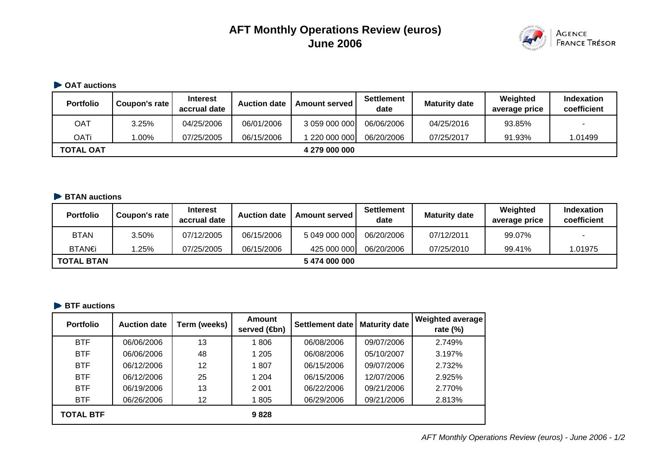# **AFT Monthly Operations Review (euros) June 2006**



#### **OAT auctions**

| <b>Portfolio</b> | Coupon's rate | <b>Interest</b><br>accrual date | <b>Auction date</b> | <b>Amount served</b> | <b>Settlement</b><br>date | <b>Maturity date</b> | Weighted<br>average price | <b>Indexation</b><br>coefficient |
|------------------|---------------|---------------------------------|---------------------|----------------------|---------------------------|----------------------|---------------------------|----------------------------------|
| OAT              | 3.25%         | 04/25/2006                      | 06/01/2006          | 3 059 000 000        | 06/06/2006                | 04/25/2016           | 93.85%                    | -                                |
| OATi             | $0.00\%$      | 07/25/2005                      | 06/15/2006          | 220 000 000          | 06/20/2006                | 07/25/2017           | 91.93%                    | 1.01499                          |
| <b>TOTAL OAT</b> |               |                                 |                     | 4 279 000 000        |                           |                      |                           |                                  |

#### **BTAN auctions**

| <b>Portfolio</b>  | Coupon's rate | <b>Interest</b><br>accrual date | <b>Auction date</b> | <b>Amount served</b> | <b>Settlement</b><br>date | <b>Maturity date</b> | Weighted<br>average price | <b>Indexation</b><br>coefficient |
|-------------------|---------------|---------------------------------|---------------------|----------------------|---------------------------|----------------------|---------------------------|----------------------------------|
| <b>BTAN</b>       | 3.50%         | 07/12/2005                      | 06/15/2006          | 5 049 000 000        | 06/20/2006                | 07/12/2011           | 99.07%                    |                                  |
| BTAN€             | 1.25%         | 07/25/2005                      | 06/15/2006          | 425 000 000          | 06/20/2006                | 07/25/2010           | 99.41%                    | 1.01975                          |
| <b>TOTAL BTAN</b> |               |                                 |                     | 5474 000 000         |                           |                      |                           |                                  |

# **BTF** auctions

| <b>Portfolio</b> | <b>Auction date</b> | Term (weeks) | <b>Amount</b><br>served ( <b>4</b> bn) | <b>Settlement date</b> | <b>Maturity date</b> | Weighted average<br>rate $(\%)$ |
|------------------|---------------------|--------------|----------------------------------------|------------------------|----------------------|---------------------------------|
| <b>BTF</b>       | 06/06/2006          | 13           | 1806                                   | 06/08/2006             | 09/07/2006           | 2.749%                          |
| <b>BTF</b>       | 06/06/2006          | 48           | 1 205                                  | 06/08/2006             | 05/10/2007           | 3.197%                          |
| <b>BTF</b>       | 06/12/2006          | 12           | 1807                                   | 06/15/2006             | 09/07/2006           | 2.732%                          |
| <b>BTF</b>       | 06/12/2006          | 25           | 1 204                                  | 06/15/2006             | 12/07/2006           | 2.925%                          |
| <b>BTF</b>       | 06/19/2006          | 13           | 2 0 0 1                                | 06/22/2006             | 09/21/2006           | 2.770%                          |
| <b>BTF</b>       | 06/26/2006          | 12           | 1805                                   | 06/29/2006             | 09/21/2006           | 2.813%                          |
| <b>TOTAL BTF</b> |                     |              | 9828                                   |                        |                      |                                 |